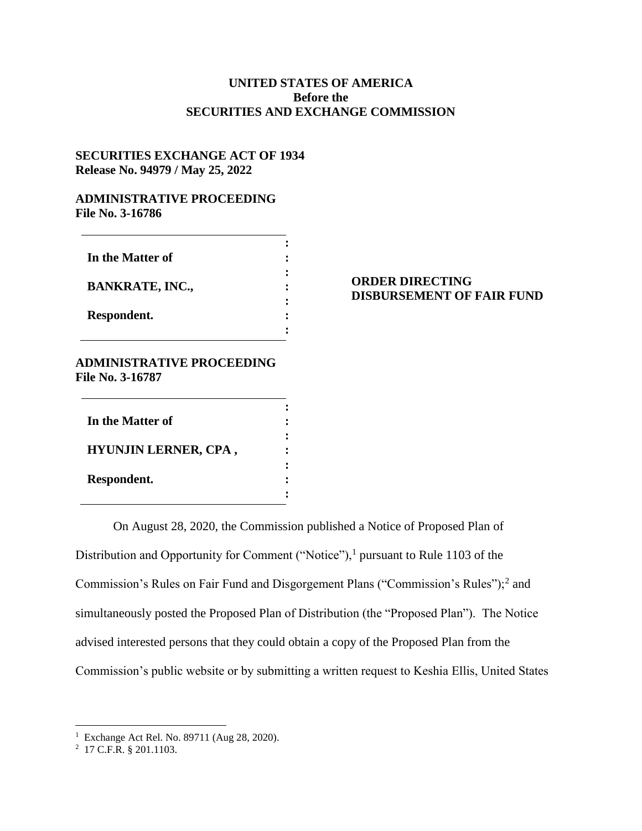## **UNITED STATES OF AMERICA Before the SECURITIES AND EXCHANGE COMMISSION**

## **SECURITIES EXCHANGE ACT OF 1934 Release No. 94979 / May 25, 2022**

#### **ADMINISTRATIVE PROCEEDING File No. 3-16786**

| In the Matter of       |  |
|------------------------|--|
| <b>BANKRATE, INC.,</b> |  |
| Respondent.            |  |

# **ORDER DIRECTING DISBURSEMENT OF FAIR FUND**

## **ADMINISTRATIVE PROCEEDING File No. 3-16787**

| In the Matter of            |  |
|-----------------------------|--|
| <b>HYUNJIN LERNER, CPA,</b> |  |
| Respondent.                 |  |

On August 28, 2020, the Commission published a Notice of Proposed Plan of Distribution and Opportunity for Comment ("Notice"), $<sup>1</sup>$  pursuant to Rule 1103 of the</sup> Commission's Rules on Fair Fund and Disgorgement Plans ("Commission's Rules");<sup>2</sup> and simultaneously posted the Proposed Plan of Distribution (the "Proposed Plan"). The Notice advised interested persons that they could obtain a copy of the Proposed Plan from the Commission's public website or by submitting a written request to Keshia Ellis, United States

 1 Exchange Act Rel. No. 89711 (Aug 28, 2020).

<sup>2</sup> 17 C.F.R. § 201.1103.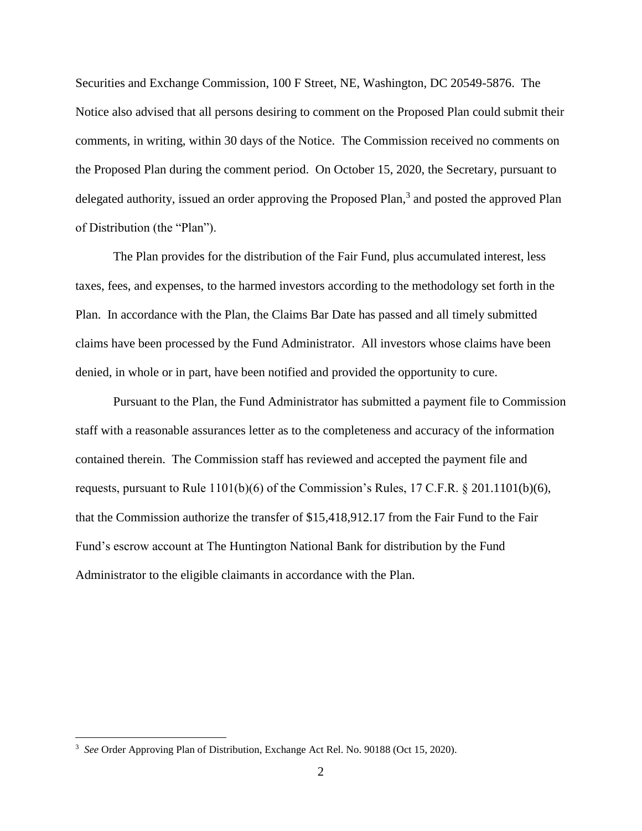Securities and Exchange Commission, 100 F Street, NE, Washington, DC 20549-5876. The Notice also advised that all persons desiring to comment on the Proposed Plan could submit their comments, in writing, within 30 days of the Notice. The Commission received no comments on the Proposed Plan during the comment period. On October 15, 2020, the Secretary, pursuant to delegated authority, issued an order approving the Proposed Plan,<sup>3</sup> and posted the approved Plan of Distribution (the "Plan").

The Plan provides for the distribution of the Fair Fund, plus accumulated interest, less taxes, fees, and expenses, to the harmed investors according to the methodology set forth in the Plan. In accordance with the Plan, the Claims Bar Date has passed and all timely submitted claims have been processed by the Fund Administrator. All investors whose claims have been denied, in whole or in part, have been notified and provided the opportunity to cure.

Pursuant to the Plan, the Fund Administrator has submitted a payment file to Commission staff with a reasonable assurances letter as to the completeness and accuracy of the information contained therein. The Commission staff has reviewed and accepted the payment file and requests, pursuant to Rule 1101(b)(6) of the Commission's Rules, 17 C.F.R. § 201.1101(b)(6), that the Commission authorize the transfer of \$15,418,912.17 from the Fair Fund to the Fair Fund's escrow account at The Huntington National Bank for distribution by the Fund Administrator to the eligible claimants in accordance with the Plan.

 $\overline{a}$ 

<sup>&</sup>lt;sup>3</sup> See Order Approving Plan of Distribution, Exchange Act Rel. No. 90188 (Oct 15, 2020).